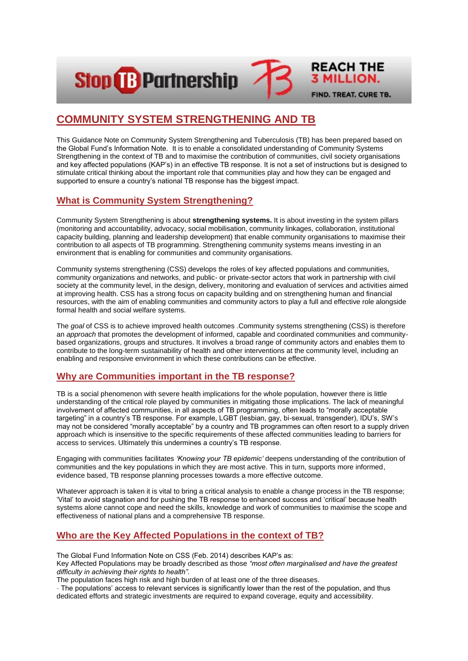**Stop & Partnership** 



This Guidance Note on Community System Strengthening and Tuberculosis (TB) has been prepared based on the Global Fund's Information Note. It is to enable a consolidated understanding of Community Systems Strengthening in the context of TB and to maximise the contribution of communities, civil society organisations and key affected populations (KAP's) in an effective TB response. It is not a set of instructions but is designed to stimulate critical thinking about the important role that communities play and how they can be engaged and supported to ensure a country's national TB response has the biggest impact.

**REACH THE** 

**3 MILLION.** 

FIND. TREAT. CURE TB.

# **What is Community System Strengthening?**

Community System Strengthening is about **strengthening systems.** It is about investing in the system pillars (monitoring and accountability, advocacy, social mobilisation, community linkages, collaboration, institutional capacity building, planning and leadership development) that enable community organisations to maximise their contribution to all aspects of TB programming. Strengthening community systems means investing in an environment that is enabling for communities and community organisations.

Community systems strengthening (CSS) develops the roles of key affected populations and communities, community organizations and networks, and public- or private-sector actors that work in partnership with civil society at the community level, in the design, delivery, monitoring and evaluation of services and activities aimed at improving health. CSS has a strong focus on capacity building and on strengthening human and financial resources, with the aim of enabling communities and community actors to play a full and effective role alongside formal health and social welfare systems.

The *goal* of CSS is to achieve improved health outcomes .Community systems strengthening (CSS) is therefore an *approach* that promotes the development of informed, capable and coordinated communities and communitybased organizations, groups and structures. It involves a broad range of community actors and enables them to contribute to the long-term sustainability of health and other interventions at the community level, including an enabling and responsive environment in which these contributions can be effective.

### **Why are Communities important in the TB response?**

TB is a social phenomenon with severe health implications for the whole population, however there is little understanding of the critical role played by communities in mitigating those implications. The lack of meaningful involvement of affected communities, in all aspects of TB programming, often leads to "morally acceptable targeting" in a country's TB response. For example, LGBT (lesbian, gay, bi-sexual, transgender), IDU's, SW's may not be considered "morally acceptable" by a country and TB programmes can often resort to a supply driven approach which is insensitive to the specific requirements of these affected communities leading to barriers for access to services. Ultimately this undermines a country's TB response.

Engaging with communities facilitates *'Knowing your TB epidemic'* deepens understanding of the contribution of communities and the key populations in which they are most active. This in turn, supports more informed, evidence based, TB response planning processes towards a more effective outcome.

Whatever approach is taken it is vital to bring a critical analysis to enable a change process in the TB response; 'Vital' to avoid stagnation and for pushing the TB response to enhanced success and 'critical' because health systems alone cannot cope and need the skills, knowledge and work of communities to maximise the scope and effectiveness of national plans and a comprehensive TB response.

# **Who are the Key Affected Populations in the context of TB?**

The Global Fund Information Note on CSS (Feb. 2014) describes KAP's as:

Key Affected Populations may be broadly described as those *"most often marginalised and have the greatest difficulty in achieving their rights to health".*

The population faces high risk and high burden of at least one of the three diseases.

- The populations' access to relevant services is significantly lower than the rest of the population, and thus dedicated efforts and strategic investments are required to expand coverage, equity and accessibility.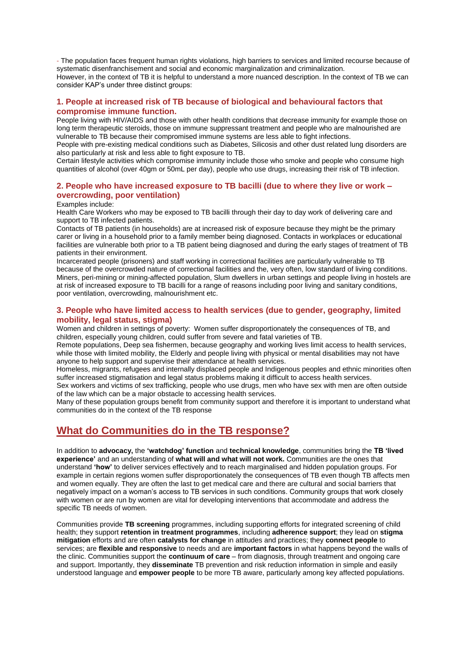- The population faces frequent human rights violations, high barriers to services and limited recourse because of systematic disenfranchisement and social and economic marginalization and criminalization. However, in the context of TB it is helpful to understand a more nuanced description. In the context of TB we can consider KAP's under three distinct groups:

### **1. People at increased risk of TB because of biological and behavioural factors that compromise immune function.**

People living with HIV/AIDS and those with other health conditions that decrease immunity for example those on long term therapeutic steroids, those on immune suppressant treatment and people who are malnourished are vulnerable to TB because their compromised immune systems are less able to fight infections.

People with pre-existing medical conditions such as Diabetes, Silicosis and other dust related lung disorders are also particularly at risk and less able to fight exposure to TB.

Certain lifestyle activities which compromise immunity include those who smoke and people who consume high quantities of alcohol (over 40gm or 50mL per day), people who use drugs, increasing their risk of TB infection.

### **2. People who have increased exposure to TB bacilli (due to where they live or work – overcrowding, poor ventilation)**

#### Examples include:

Health Care Workers who may be exposed to TB bacilli through their day to day work of delivering care and support to TB infected patients.

Contacts of TB patients (in households) are at increased risk of exposure because they might be the primary carer or living in a household prior to a family member being diagnosed. Contacts in workplaces or educational facilities are vulnerable both prior to a TB patient being diagnosed and during the early stages of treatment of TB patients in their environment.

Incarcerated people (prisoners) and staff working in correctional facilities are particularly vulnerable to TB because of the overcrowded nature of correctional facilities and the, very often, low standard of living conditions. Miners, peri-mining or mining-affected population, Slum dwellers in urban settings and people living in hostels are at risk of increased exposure to TB bacilli for a range of reasons including poor living and sanitary conditions, poor ventilation, overcrowding, malnourishment etc.

### **3. People who have limited access to health services (due to gender, geography, limited mobility, legal status, stigma)**

Women and children in settings of poverty: Women suffer disproportionately the consequences of TB, and children, especially young children, could suffer from severe and fatal varieties of TB.

Remote populations, Deep sea fishermen, because geography and working lives limit access to health services, while those with limited mobility, the Elderly and people living with physical or mental disabilities may not have anyone to help support and supervise their attendance at health services.

Homeless, migrants, refugees and internally displaced people and Indigenous peoples and ethnic minorities often suffer increased stigmatisation and legal status problems making it difficult to access health services.

Sex workers and victims of sex trafficking, people who use drugs, men who have sex with men are often outside of the law which can be a major obstacle to accessing health services.

Many of these population groups benefit from community support and therefore it is important to understand what communities do in the context of the TB response

# **What do Communities do in the TB response?**

In addition to **advocacy,** the **'watchdog' function** and **technical knowledge**, communities bring the **TB 'lived experience'** and an understanding of **what will and what will not work.** Communities are the ones that understand **'how'** to deliver services effectively and to reach marginalised and hidden population groups. For example in certain regions women suffer disproportionately the consequences of TB even though TB affects men and women equally. They are often the last to get medical care and there are cultural and social barriers that negatively impact on a woman's access to TB services in such conditions. Community groups that work closely with women or are run by women are vital for developing interventions that accommodate and address the specific TB needs of women.

Communities provide **TB screening** programmes, including supporting efforts for integrated screening of child health; they support **retention in treatment programmes**, including **adherence support**; they lead on **stigma mitigation** efforts and are often **catalysts for change** in attitudes and practices; they **connect people** to services; are **flexible and responsive** to needs and are **important factors** in what happens beyond the walls of the clinic. Communities support the **continuum of care** – from diagnosis, through treatment and ongoing care and support. Importantly, they **disseminate** TB prevention and risk reduction information in simple and easily understood language and **empower people** to be more TB aware, particularly among key affected populations.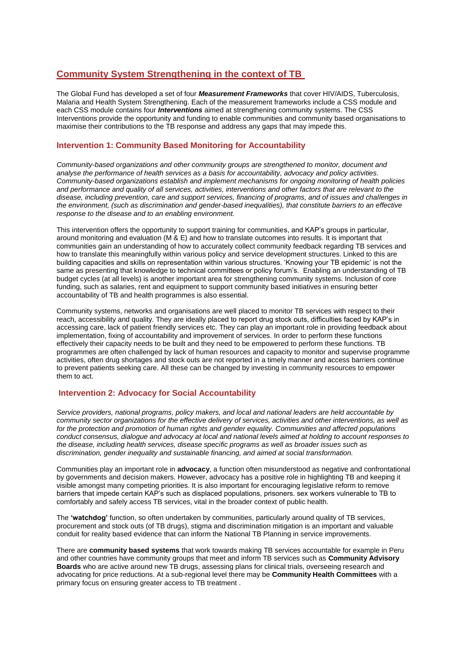# **Community System Strengthening in the context of TB**

The Global Fund has developed a set of four *Measurement Frameworks* that cover HIV/AIDS, Tuberculosis, Malaria and Health System Strengthening. Each of the measurement frameworks include a CSS module and each CSS module contains four *Interventions* aimed at strengthening community systems. The CSS Interventions provide the opportunity and funding to enable communities and community based organisations to maximise their contributions to the TB response and address any gaps that may impede this.

### **Intervention 1: Community Based Monitoring for Accountability**

*Community-based organizations and other community groups are strengthened to monitor, document and analyse the performance of health services as a basis for accountability, advocacy and policy activities. Community-based organizations establish and implement mechanisms for ongoing monitoring of health policies and performance and quality of all services, activities, interventions and other factors that are relevant to the disease, including prevention, care and support services, financing of programs, and of issues and challenges in the environment, (such as discrimination and gender-based inequalities), that constitute barriers to an effective response to the disease and to an enabling environment.*

This intervention offers the opportunity to support training for communities, and KAP's groups in particular, around monitoring and evaluation (M & E) and how to translate outcomes into results. It is important that communities gain an understanding of how to accurately collect community feedback regarding TB services and how to translate this meaningfully within various policy and service development structures. Linked to this are building capacities and skills on representation within various structures. 'Knowing your TB epidemic' is not the same as presenting that knowledge to technical committees or policy forum's. Enabling an understanding of TB budget cycles (at all levels) is another important area for strengthening community systems. Inclusion of core funding, such as salaries, rent and equipment to support community based initiatives in ensuring better accountability of TB and health programmes is also essential.

Community systems, networks and organisations are well placed to monitor TB services with respect to their reach, accessibility and quality. They are ideally placed to report drug stock outs, difficulties faced by KAP's in accessing care, lack of patient friendly services etc. They can play an important role in providing feedback about implementation, fixing of accountability and improvement of services. In order to perform these functions effectively their capacity needs to be built and they need to be empowered to perform these functions. TB programmes are often challenged by lack of human resources and capacity to monitor and supervise programme activities, often drug shortages and stock outs are not reported in a timely manner and access barriers continue to prevent patients seeking care. All these can be changed by investing in community resources to empower them to act.

### **Intervention 2: Advocacy for Social Accountability**

*Service providers, national programs, policy makers, and local and national leaders are held accountable by community sector organizations for the effective delivery of services, activities and other interventions, as well as for the protection and promotion of human rights and gender equality. Communities and affected populations conduct consensus, dialogue and advocacy at local and national levels aimed at holding to account responses to the disease, including health services, disease specific programs as well as broader issues such as discrimination, gender inequality and sustainable financing, and aimed at social transformation.*

Communities play an important role in **advocacy**, a function often misunderstood as negative and confrontational by governments and decision makers. However, advocacy has a positive role in highlighting TB and keeping it visible amongst many competing priorities. It is also important for encouraging legislative reform to remove barriers that impede certain KAP's such as displaced populations, prisoners. sex workers vulnerable to TB to comfortably and safely access TB services, vital in the broader context of public health.

The **'watchdog'** function, so often undertaken by communities, particularly around quality of TB services, procurement and stock outs (of TB drugs), stigma and discrimination mitigation is an important and valuable conduit for reality based evidence that can inform the National TB Planning in service improvements.

There are **community based systems** that work towards making TB services accountable for example in Peru and other countries have community groups that meet and inform TB services such as **Community Advisory Boards** who are active around new TB drugs, assessing plans for clinical trials, overseeing research and advocating for price reductions. At a sub-regional level there may be **Community Health Committees** with a primary focus on ensuring greater access to TB treatment .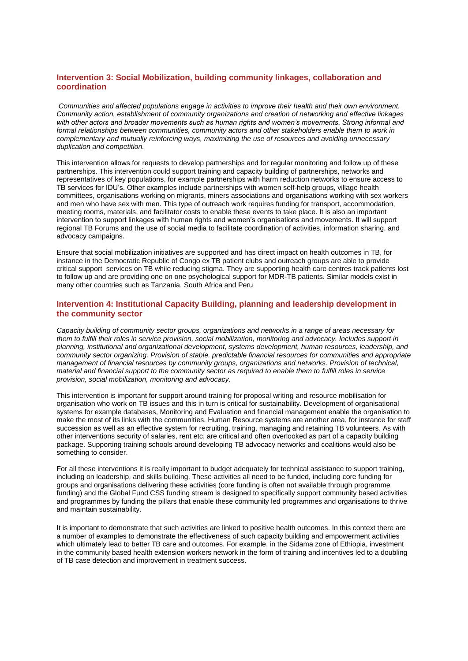### **Intervention 3: Social Mobilization, building community linkages, collaboration and coordination**

*Communities and affected populations engage in activities to improve their health and their own environment. Community action, establishment of community organizations and creation of networking and effective linkages with other actors and broader movements such as human rights and women's movements. Strong informal and formal relationships between communities, community actors and other stakeholders enable them to work in complementary and mutually reinforcing ways, maximizing the use of resources and avoiding unnecessary duplication and competition.*

This intervention allows for requests to develop partnerships and for regular monitoring and follow up of these partnerships. This intervention could support training and capacity building of partnerships, networks and representatives of key populations, for example partnerships with harm reduction networks to ensure access to TB services for IDU's. Other examples include partnerships with women self-help groups, village health committees, organisations working on migrants, miners associations and organisations working with sex workers and men who have sex with men. This type of outreach work requires funding for transport, accommodation, meeting rooms, materials, and facilitator costs to enable these events to take place. It is also an important intervention to support linkages with human rights and women's organisations and movements. It will support regional TB Forums and the use of social media to facilitate coordination of activities, information sharing, and advocacy campaigns.

Ensure that social mobilization initiatives are supported and has direct impact on health outcomes in TB, for instance in the Democratic Republic of Congo ex TB patient clubs and outreach groups are able to provide critical support services on TB while reducing stigma. They are supporting health care centres track patients lost to follow up and are providing one on one psychological support for MDR-TB patients. Similar models exist in many other countries such as Tanzania, South Africa and Peru

### **Intervention 4: Institutional Capacity Building, planning and leadership development in the community sector**

*Capacity building of community sector groups, organizations and networks in a range of areas necessary for them to fulfill their roles in service provision, social mobilization, monitoring and advocacy. Includes support in planning, institutional and organizational development, systems development, human resources, leadership, and community sector organizing. Provision of stable, predictable financial resources for communities and appropriate management of financial resources by community groups, organizations and networks. Provision of technical, material and financial support to the community sector as required to enable them to fulfill roles in service provision, social mobilization, monitoring and advocacy.*

This intervention is important for support around training for proposal writing and resource mobilisation for organisation who work on TB issues and this in turn is critical for sustainability. Development of organisational systems for example databases, Monitoring and Evaluation and financial management enable the organisation to make the most of its links with the communities. Human Resource systems are another area, for instance for staff succession as well as an effective system for recruiting, training, managing and retaining TB volunteers. As with other interventions security of salaries, rent etc. are critical and often overlooked as part of a capacity building package. Supporting training schools around developing TB advocacy networks and coalitions would also be something to consider.

For all these interventions it is really important to budget adequately for technical assistance to support training, including on leadership, and skills building. These activities all need to be funded, including core funding for groups and organisations delivering these activities (core funding is often not available through programme funding) and the Global Fund CSS funding stream is designed to specifically support community based activities and programmes by funding the pillars that enable these community led programmes and organisations to thrive and maintain sustainability.

It is important to demonstrate that such activities are linked to positive health outcomes. In this context there are a number of examples to demonstrate the effectiveness of such capacity building and empowerment activities which ultimately lead to better TB care and outcomes. For example, in the Sidama zone of Ethiopia, investment in the community based health extension workers network in the form of training and incentives led to a doubling of TB case detection and improvement in treatment success.